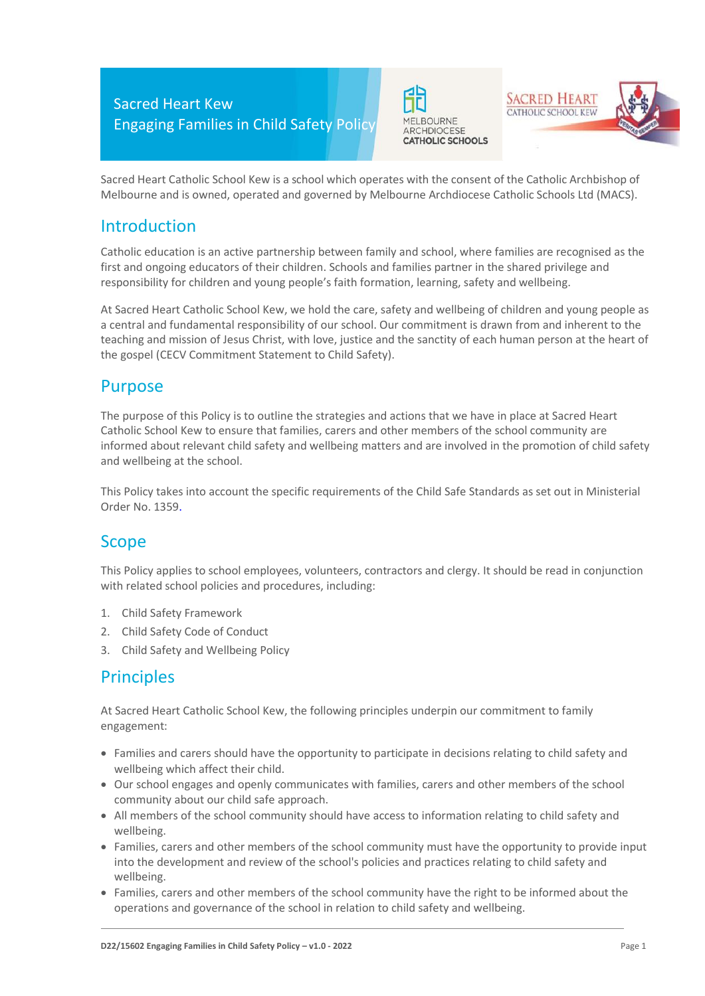





Sacred Heart Catholic School Kew is a school which operates with the consent of the Catholic Archbishop of Melbourne and is owned, operated and governed by Melbourne Archdiocese Catholic Schools Ltd (MACS).

### Introduction

Catholic education is an active partnership between family and school, where families are recognised as the first and ongoing educators of their children. Schools and families partner in the shared privilege and responsibility for children and young people's faith formation, learning, safety and wellbeing.

At Sacred Heart Catholic School Kew, we hold the care, safety and wellbeing of children and young people as a central and fundamental responsibility of our school. Our commitment is drawn from and inherent to the teaching and mission of Jesus Christ, with love, justice and the sanctity of each human person at the heart of the gospel (CECV Commitment Statement to Child Safety).

### Purpose

The purpose of this Policy is to outline the strategies and actions that we have in place at Sacred Heart Catholic School Kew to ensure that families, carers and other members of the school community are informed about relevant child safety and wellbeing matters and are involved in the promotion of child safety and wellbeing at the school.

This Policy takes into account the specific requirements of the Child Safe Standards as set out in Ministerial Order No. 1359.

## Scope

This Policy applies to school employees, volunteers, contractors and clergy. It should be read in conjunction with related school policies and procedures, including:

- 1. Child Safety Framework
- 2. Child Safety Code of Conduct
- 3. Child Safety and Wellbeing Policy

## **Principles**

At Sacred Heart Catholic School Kew, the following principles underpin our commitment to family engagement:

- Families and carers should have the opportunity to participate in decisions relating to child safety and wellbeing which affect their child.
- Our school engages and openly communicates with families, carers and other members of the school community about our child safe approach.
- All members of the school community should have access to information relating to child safety and wellbeing.
- Families, carers and other members of the school community must have the opportunity to provide input into the development and review of the school's policies and practices relating to child safety and wellbeing.
- Families, carers and other members of the school community have the right to be informed about the operations and governance of the school in relation to child safety and wellbeing.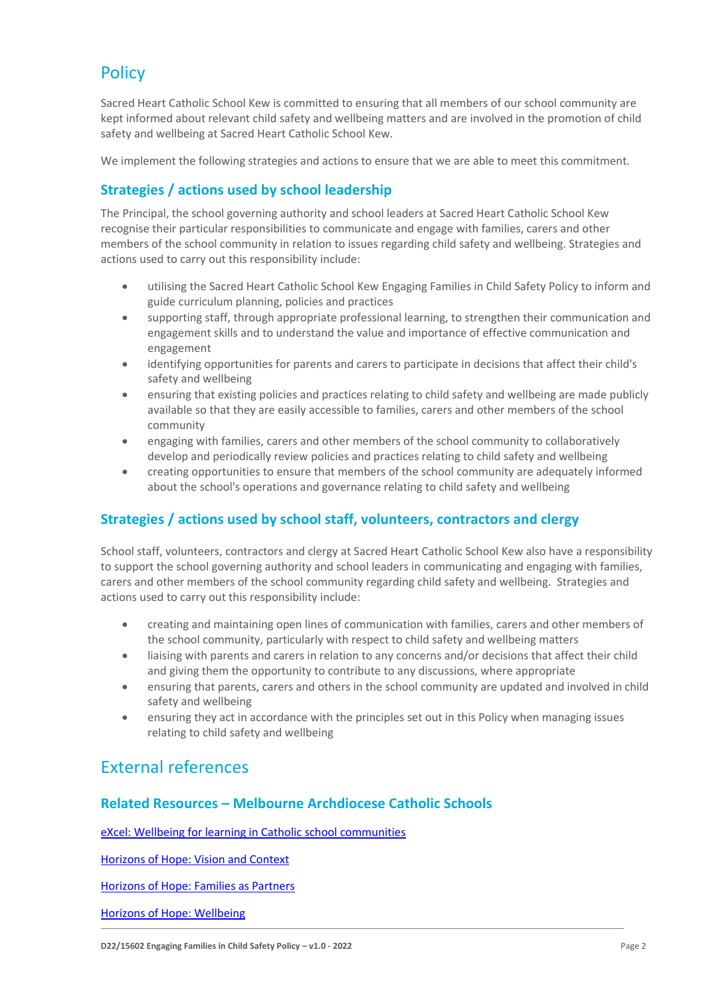# **Policy**

Sacred Heart Catholic School Kew is committed to ensuring that all members of our school community are kept informed about relevant child safety and wellbeing matters and are involved in the promotion of child safety and wellbeing at Sacred Heart Catholic School Kew.

We implement the following strategies and actions to ensure that we are able to meet this commitment.

#### **Strategies / actions used by school leadership**

The Principal, the school governing authority and school leaders at Sacred Heart Catholic School Kew recognise their particular responsibilities to communicate and engage with families, carers and other members of the school community in relation to issues regarding child safety and wellbeing. Strategies and actions used to carry out this responsibility include:

- utilising the Sacred Heart Catholic School Kew Engaging Families in Child Safety Policy to inform and guide curriculum planning, policies and practices
- supporting staff, through appropriate professional learning, to strengthen their communication and engagement skills and to understand the value and importance of effective communication and engagement
- identifying opportunities for parents and carers to participate in decisions that affect their child's safety and wellbeing
- ensuring that existing policies and practices relating to child safety and wellbeing are made publicly available so that they are easily accessible to families, carers and other members of the school community
- engaging with families, carers and other members of the school community to collaboratively develop and periodically review policies and practices relating to child safety and wellbeing
- creating opportunities to ensure that members of the school community are adequately informed about the school's operations and governance relating to child safety and wellbeing

#### **Strategies / actions used by school staff, volunteers, contractors and clergy**

School staff, volunteers, contractors and clergy at Sacred Heart Catholic School Kew also have a responsibility to support the school governing authority and school leaders in communicating and engaging with families, carers and other members of the school community regarding child safety and wellbeing. Strategies and actions used to carry out this responsibility include:

- creating and maintaining open lines of communication with families, carers and other members of the school community, particularly with respect to child safety and wellbeing matters
- liaising with parents and carers in relation to any concerns and/or decisions that affect their child and giving them the opportunity to contribute to any discussions, where appropriate
- ensuring that parents, carers and others in the school community are updated and involved in child safety and wellbeing
- ensuring they act in accordance with the principles set out in this Policy when managing issues relating to child safety and wellbeing

### External references)

#### **Related Resources – Melbourne Archdiocese Catholic Schools**

[eXcel: Wellbeing for learning in Catholic school communities](https://www.cem.edu.au/Our-Schools/Curriculum-Learning-Programs/Student-Wellbeing/eXcel.aspx)

[Horizons of Hope: Vision and Context](https://www.macs.vic.edu.au/Our-Schools/Curriculum-Learning-Programs/Horizons-of-Hope/Vision-Context.aspx)

[Horizons of Hope: Families as Partners](https://www.macs.vic.edu.au/Our-Schools/Curriculum-Learning-Programs/Horizons-of-Hope/Families-as-partners.aspx)

[Horizons of Hope: Wellbeing](https://www.macs.vic.edu.au/Our-Schools/Curriculum-Learning-Programs/Horizons-of-Hope/Wellbeing.aspx)